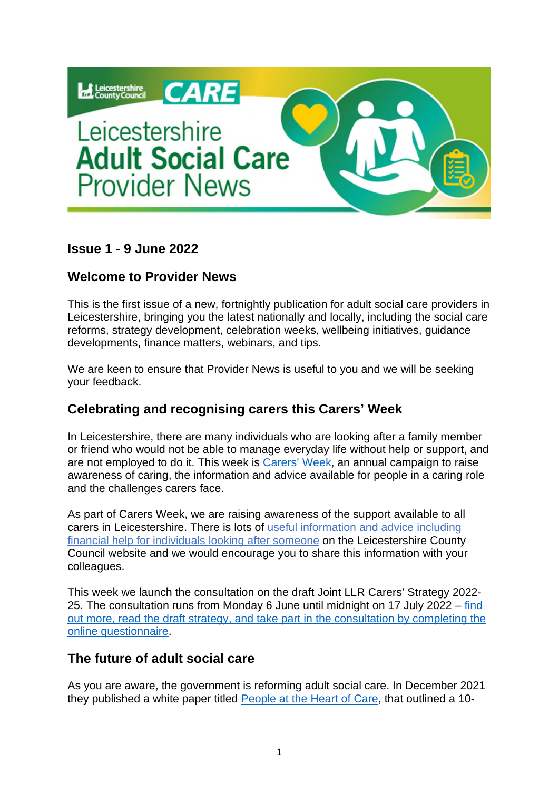

## **Issue 1 - 9 June 2022**

## **Welcome to Provider News**

This is the first issue of a new, fortnightly publication for adult social care providers in Leicestershire, bringing you the latest nationally and locally, including the social care reforms, strategy development, celebration weeks, wellbeing initiatives, guidance developments, finance matters, webinars, and tips.

We are keen to ensure that Provider News is useful to you and we will be seeking your feedback.

# **Celebrating and recognising carers this Carers' Week**

In Leicestershire, there are many individuals who are looking after a family member or friend who would not be able to manage everyday life without help or support, and are not employed to do it. This week is [Carers' Week,](https://www.carersweek.org/) an annual campaign to raise awareness of caring, the information and advice available for people in a caring role and the challenges carers face.

As part of Carers Week, we are raising awareness of the support available to all carers in Leicestershire. There is lots of [useful information and advice including](https://www.leicestershire.gov.uk/adult-social-care-and-health/looking-after-someone/?fbclid=IwAR1ZjXuVm9b2cdewWEKzq11JkpSHQ-gw47lmen_k-KOYUSyW0zOWvbDz3pw)  [financial help for individuals looking after someone](https://www.leicestershire.gov.uk/adult-social-care-and-health/looking-after-someone/?fbclid=IwAR1ZjXuVm9b2cdewWEKzq11JkpSHQ-gw47lmen_k-KOYUSyW0zOWvbDz3pw) on the Leicestershire County Council website and we would encourage you to share this information with your colleagues.

This week we launch the consultation on the draft Joint LLR Carers' Strategy 2022- 25. The consultation runs from Monday 6 June until midnight on 17 July 2022 – [find](https://www.leicestershire.gov.uk/have-your-say/current-engagement/leicester-leicestershire-and-rutland-llr-draft-joint-carers-strategy-2022-2025)  [out more, read the draft strategy, and take part in the consultation by completing the](https://www.leicestershire.gov.uk/have-your-say/current-engagement/leicester-leicestershire-and-rutland-llr-draft-joint-carers-strategy-2022-2025)  [online questionnaire.](https://www.leicestershire.gov.uk/have-your-say/current-engagement/leicester-leicestershire-and-rutland-llr-draft-joint-carers-strategy-2022-2025)

## **The future of adult social care**

As you are aware, the government is reforming adult social care. In December 2021 they published a white paper titled [People at the Heart of Care,](https://www.gov.uk/government/publications/people-at-the-heart-of-care-adult-social-care-reform-white-paper) that outlined a 10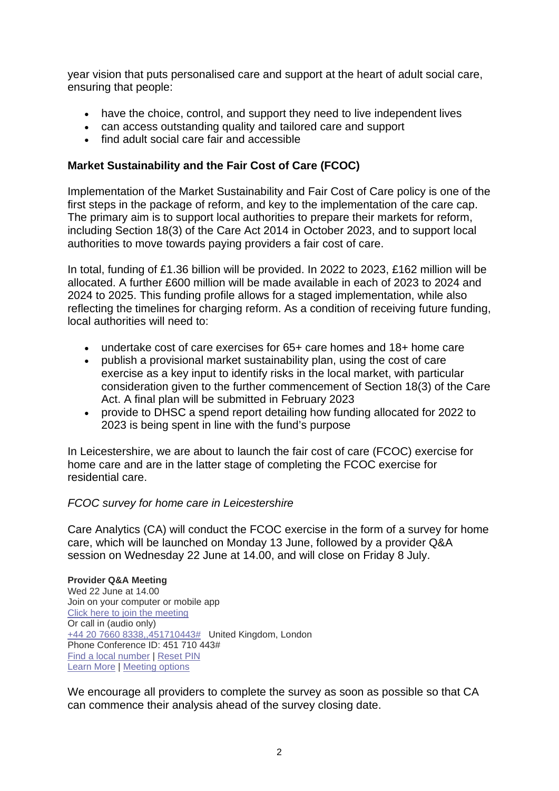year vision that puts personalised care and support at the heart of adult social care, ensuring that people:

- have the choice, control, and support they need to live independent lives
- can access outstanding quality and tailored care and support
- find adult social care fair and accessible

### **Market Sustainability and the Fair Cost of Care (FCOC)**

Implementation of the Market Sustainability and Fair Cost of Care policy is one of the first steps in the package of reform, and key to the implementation of the care cap. The primary aim is to support local authorities to prepare their markets for reform, including Section 18(3) of the Care Act 2014 in October 2023, and to support local authorities to move towards paying providers a fair cost of care.

In total, funding of £1.36 billion will be provided. In 2022 to 2023, £162 million will be allocated. A further £600 million will be made available in each of 2023 to 2024 and 2024 to 2025. This funding profile allows for a staged implementation, while also reflecting the timelines for charging reform. As a condition of receiving future funding, local authorities will need to:

- undertake cost of care exercises for 65+ care homes and 18+ home care
- publish a provisional market sustainability plan, using the cost of care exercise as a key input to identify risks in the local market, with particular consideration given to the further commencement of Section 18(3) of the Care Act. A final plan will be submitted in February 2023
- provide to DHSC a spend report detailing how funding allocated for 2022 to 2023 is being spent in line with the fund's purpose

In Leicestershire, we are about to launch the fair cost of care (FCOC) exercise for home care and are in the latter stage of completing the FCOC exercise for residential care.

#### *FCOC survey for home care in Leicestershire*

Care Analytics (CA) will conduct the FCOC exercise in the form of a survey for home care, which will be launched on Monday 13 June, followed by a provider Q&A session on Wednesday 22 June at 14.00, and will close on Friday 8 July.

**Provider Q&A Meeting**  Wed 22 June at 14.00 Join on your computer or mobile app [Click here to join the meeting](https://teams.microsoft.com/l/meetup-join/19%3ameeting_MDRhYjU5NWYtZGQ2MS00NGEwLWE2ODMtN2Q0MmZlZTcxODRm%40thread.v2/0?context=%7b%22Tid%22%3a%221fcf6b4b-21c9-40c2-b753-a29d57017359%22%2c%22Oid%22%3a%2243dd5380-8cc9-4a29-8cb0-191a2d5f4a48%22%7d)  Or call in (audio only) [+44 20 7660 8338,,451710443#](tel:+442076608338,,451710443#%20) United Kingdom, London Phone Conference ID: 451 710 443# [Find a local number](https://dialin.teams.microsoft.com/f91eb8aa-2c2e-4def-8f72-296f659ca34d?id=451710443) | [Reset PIN](https://dialin.teams.microsoft.com/usp/pstnconferencing)  [Learn More](https://aka.ms/JoinTeamsMeeting) | [Meeting options](https://teams.microsoft.com/meetingOptions/?organizerId=43dd5380-8cc9-4a29-8cb0-191a2d5f4a48&tenantId=1fcf6b4b-21c9-40c2-b753-a29d57017359&threadId=19_meeting_MDRhYjU5NWYtZGQ2MS00NGEwLWE2ODMtN2Q0MmZlZTcxODRm@thread.v2&messageId=0&language=en-US) 

We encourage all providers to complete the survey as soon as possible so that CA can commence their analysis ahead of the survey closing date.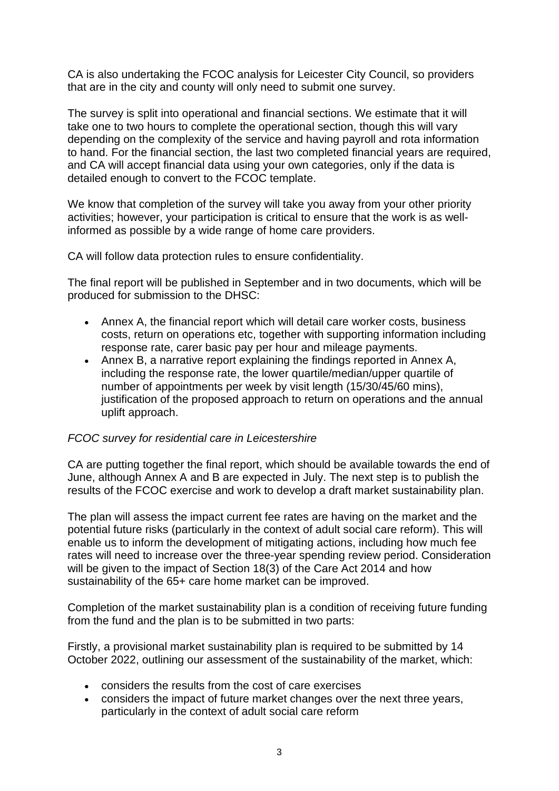CA is also undertaking the FCOC analysis for Leicester City Council, so providers that are in the city and county will only need to submit one survey.

The survey is split into operational and financial sections. We estimate that it will take one to two hours to complete the operational section, though this will vary depending on the complexity of the service and having payroll and rota information to hand. For the financial section, the last two completed financial years are required, and CA will accept financial data using your own categories, only if the data is detailed enough to convert to the FCOC template.

We know that completion of the survey will take you away from your other priority activities; however, your participation is critical to ensure that the work is as wellinformed as possible by a wide range of home care providers.

CA will follow data protection rules to ensure confidentiality.

The final report will be published in September and in two documents, which will be produced for submission to the DHSC:

- Annex A, the financial report which will detail care worker costs, business costs, return on operations etc, together with supporting information including response rate, carer basic pay per hour and mileage payments.
- Annex B, a narrative report explaining the findings reported in Annex A, including the response rate, the lower quartile/median/upper quartile of number of appointments per week by visit length (15/30/45/60 mins), justification of the proposed approach to return on operations and the annual uplift approach.

#### *FCOC survey for residential care in Leicestershire*

CA are putting together the final report, which should be available towards the end of June, although Annex A and B are expected in July. The next step is to publish the results of the FCOC exercise and work to develop a draft market sustainability plan.

The plan will assess the impact current fee rates are having on the market and the potential future risks (particularly in the context of adult social care reform). This will enable us to inform the development of mitigating actions, including how much fee rates will need to increase over the three-year spending review period. Consideration will be given to the impact of Section 18(3) of the Care Act 2014 and how sustainability of the 65+ care home market can be improved.

Completion of the market sustainability plan is a condition of receiving future funding from the fund and the plan is to be submitted in two parts:

Firstly, a provisional market sustainability plan is required to be submitted by 14 October 2022, outlining our assessment of the sustainability of the market, which:

- considers the results from the cost of care exercises
- considers the impact of future market changes over the next three years, particularly in the context of adult social care reform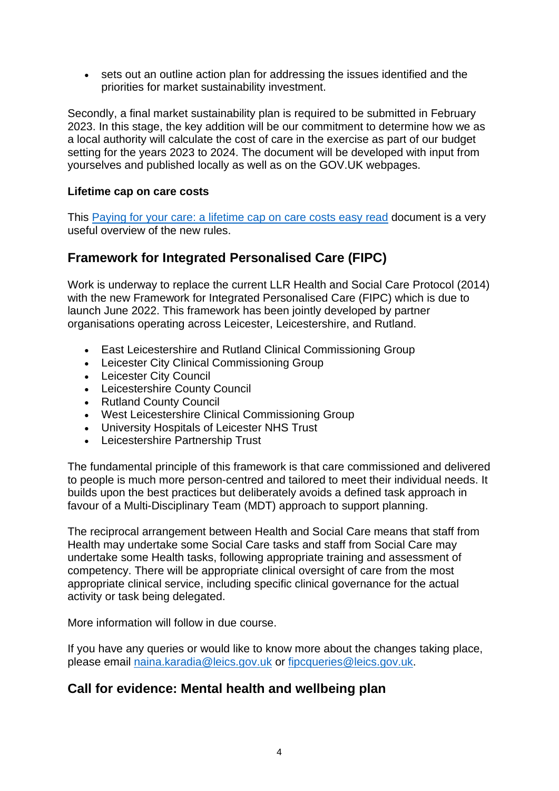sets out an outline action plan for addressing the issues identified and the priorities for market sustainability investment.

Secondly, a final market sustainability plan is required to be submitted in February 2023. In this stage, the key addition will be our commitment to determine how we as a local authority will calculate the cost of care in the exercise as part of our budget setting for the years 2023 to 2024. The document will be developed with input from yourselves and published locally as well as on the GOV.UK webpages.

### **Lifetime cap on care costs**

This [Paying for your care: a lifetime cap on care costs easy read](https://assets.publishing.service.gov.uk/government/uploads/system/uploads/attachment_data/file/1077808/paying-for-your-care-a-lifetime-cap-on-care-costs-easy-read-v2-may2022.pdf) document is a very useful overview of the new rules.

# **Framework for Integrated Personalised Care (FIPC)**

Work is underway to replace the current LLR Health and Social Care Protocol (2014) with the new Framework for Integrated Personalised Care (FIPC) which is due to launch June 2022. This framework has been jointly developed by partner organisations operating across Leicester, Leicestershire, and Rutland.

- East Leicestershire and Rutland Clinical Commissioning Group
- Leicester City Clinical Commissioning Group
- Leicester City Council
- Leicestershire County Council
- Rutland County Council
- West Leicestershire Clinical Commissioning Group
- University Hospitals of Leicester NHS Trust
- Leicestershire Partnership Trust

The fundamental principle of this framework is that care commissioned and delivered to people is much more person-centred and tailored to meet their individual needs. It builds upon the best practices but deliberately avoids a defined task approach in favour of a Multi-Disciplinary Team (MDT) approach to support planning.

The reciprocal arrangement between Health and Social Care means that staff from Health may undertake some Social Care tasks and staff from Social Care may undertake some Health tasks, following appropriate training and assessment of competency. There will be appropriate clinical oversight of care from the most appropriate clinical service, including specific clinical governance for the actual activity or task being delegated.

More information will follow in due course.

If you have any queries or would like to know more about the changes taking place, please email [naina.karadia@leics.gov.uk](mailto:naina.karadia@leics.gov.uk) or [fipcqueries@leics.gov.uk.](mailto:fipcqueries@leics.gov.uk)

# **Call for evidence: Mental health and wellbeing plan**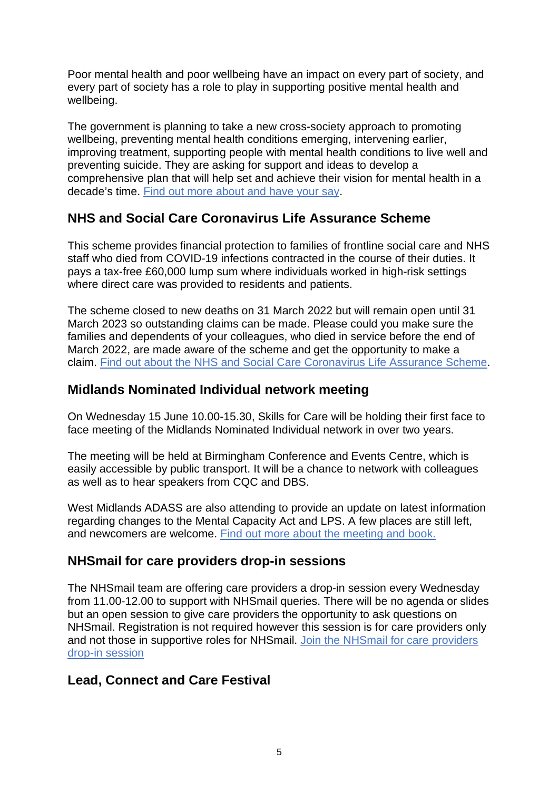Poor mental health and poor wellbeing have an impact on every part of society, and every part of society has a role to play in supporting positive mental health and wellbeing.

The government is planning to take a new cross-society approach to promoting wellbeing, preventing mental health conditions emerging, intervening earlier, improving treatment, supporting people with mental health conditions to live well and preventing suicide. They are asking for support and ideas to develop a comprehensive plan that will help set and achieve their vision for mental health in a decade's time. [Find out more about and have your say.](https://consultations.dhsc.gov.uk/623ac367ea9bcd4c024d6df9)

# **NHS and Social Care Coronavirus Life Assurance Scheme**

This scheme provides financial protection to families of frontline social care and NHS staff who died from COVID-19 infections contracted in the course of their duties. It pays a tax-free £60,000 lump sum where individuals worked in high-risk settings where direct care was provided to residents and patients.

The scheme closed to new deaths on 31 March 2022 but will remain open until 31 March 2023 so outstanding claims can be made. Please could you make sure the families and dependents of your colleagues, who died in service before the end of March 2022, are made aware of the scheme and get the opportunity to make a claim. [Find out about the NHS and Social Care Coronavirus Life Assurance Scheme.](https://www.nhsbsa.nhs.uk/update-nhs-and-social-care-coronavirus-life-assurance-scheme-2020-guidance?utm_campaign=Adult+Social+Care+Update+27.05.22&utm_content=dhsc-mail.co.uk&utm_medium=email&utm_source=Department+of+Health+and+Social+Care&wp-linkindex=5)

## **Midlands Nominated Individual network meeting**

On Wednesday 15 June 10.00-15.30, Skills for Care will be holding their first face to face meeting of the Midlands Nominated Individual network in over two years.

The meeting will be held at Birmingham Conference and Events Centre, which is easily accessible by public transport. It will be a chance to network with colleagues as well as to hear speakers from CQC and DBS.

West Midlands ADASS are also attending to provide an update on latest information regarding changes to the Mental Capacity Act and LPS. A few places are still left, and newcomers are welcome. [Find out more about the meeting and book.](https://events.skillsforcare.org.uk/skillsforcare/frontend/reg/thome.csp?pageID=423614&eventID=1356&CSPCHD=000001000000HMgQPkQ1HJElPJU9LeC7sqLVytHYShUKeMT2g8) 

## **NHSmail for care providers drop-in sessions**

The NHSmail team are offering care providers a drop-in session every Wednesday from 11.00-12.00 to support with NHSmail queries. There will be no agenda or slides but an open session to give care providers the opportunity to ask questions on NHSmail. Registration is not required however this session is for care providers only and not those in supportive roles for NHSmail. [Join the NHSmail for care providers](https://eur01.safelinks.protection.outlook.com/?url=https%3A%2F%2Fteams.microsoft.com%2Fdl%2Flauncher%2Flauncher.html%3Furl%3D%252F_%2523%252Fl%252Fmeetup-join%252F19%253Ameeting_MjczNzg5NmYtNzAyOS00NGZkLWE4MTUtNmJkMzBjYWYyYjQ5%2540thread.v2%252F0%253Fcontext%253D%25257b%252522Tid%252522%25253a%25252237c354b2-85b0-47f5-b222-07b48d774ee3%252522%25252c%252522Oid%252522%25253a%252522396a9a0e-650f-4ab2-b7d9-2e326c8d6317%252522%25257d%2526anon%253Dtrue%26type%3Dmeetup-join%26deeplinkId%3Dfa5d7aa0-b9af-4978-8211-2cfdb7ad1623%26directDl%3Dtrue%26msLaunch%3Dtrue%26enableMobilePage%3Dtrue%26suppressPrompt%3Dtrue&data=05%7C01%7Csue.wilson2%40nottscc.gov.uk%7C343e10a9c5ff47e1a52608da3d89ba9f%7C6e5a37bba9614e4fbaae2798a2245f30%7C0%7C0%7C637889958997297975%7CUnknown%7CTWFpbGZsb3d8eyJWIjoiMC4wLjAwMDAiLCJQIjoiV2luMzIiLCJBTiI6Ik1haWwiLCJXVCI6Mn0%3D%7C3000%7C%7C%7C&sdata=TXzV2kBbEKfB3wR%2B0QZ531T50%2BiXnG3jICtKXNFXWuA%3D&reserved=0)  [drop-in session](https://eur01.safelinks.protection.outlook.com/?url=https%3A%2F%2Fteams.microsoft.com%2Fdl%2Flauncher%2Flauncher.html%3Furl%3D%252F_%2523%252Fl%252Fmeetup-join%252F19%253Ameeting_MjczNzg5NmYtNzAyOS00NGZkLWE4MTUtNmJkMzBjYWYyYjQ5%2540thread.v2%252F0%253Fcontext%253D%25257b%252522Tid%252522%25253a%25252237c354b2-85b0-47f5-b222-07b48d774ee3%252522%25252c%252522Oid%252522%25253a%252522396a9a0e-650f-4ab2-b7d9-2e326c8d6317%252522%25257d%2526anon%253Dtrue%26type%3Dmeetup-join%26deeplinkId%3Dfa5d7aa0-b9af-4978-8211-2cfdb7ad1623%26directDl%3Dtrue%26msLaunch%3Dtrue%26enableMobilePage%3Dtrue%26suppressPrompt%3Dtrue&data=05%7C01%7Csue.wilson2%40nottscc.gov.uk%7C343e10a9c5ff47e1a52608da3d89ba9f%7C6e5a37bba9614e4fbaae2798a2245f30%7C0%7C0%7C637889958997297975%7CUnknown%7CTWFpbGZsb3d8eyJWIjoiMC4wLjAwMDAiLCJQIjoiV2luMzIiLCJBTiI6Ik1haWwiLCJXVCI6Mn0%3D%7C3000%7C%7C%7C&sdata=TXzV2kBbEKfB3wR%2B0QZ531T50%2BiXnG3jICtKXNFXWuA%3D&reserved=0)

# **Lead, Connect and Care Festival**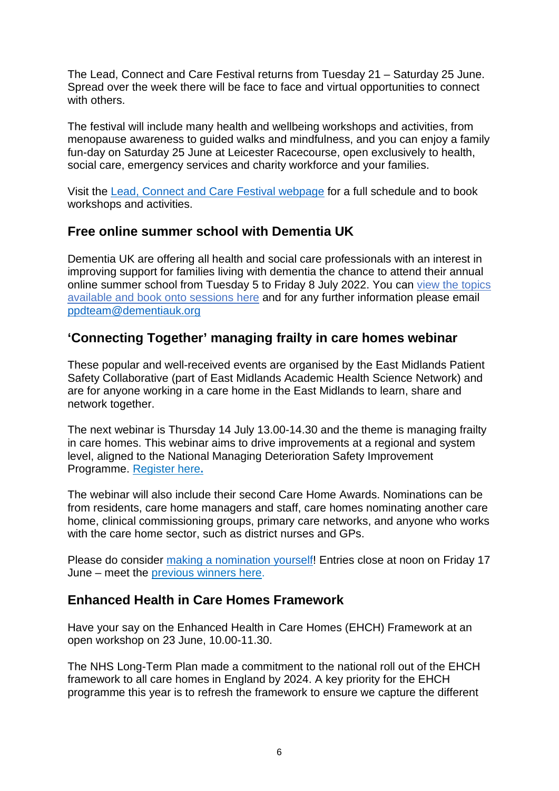The Lead, Connect and Care Festival returns from Tuesday 21 – Saturday 25 June. Spread over the week there will be face to face and virtual opportunities to connect with others.

The festival will include many health and wellbeing workshops and activities, from menopause awareness to guided walks and mindfulness, and you can enjoy a family fun-day on Saturday 25 June at Leicester Racecourse, open exclusively to health, social care, emergency services and charity workforce and your families.

Visit the [Lead, Connect and Care Festival webpage](https://llracademy.org/event-dashboard/) for a full schedule and to book workshops and activities.

## **Free online summer school with Dementia UK**

Dementia UK are offering all health and social care professionals with an interest in improving support for families living with dementia the chance to attend their annual online summer school from Tuesday 5 to Friday 8 July 2022. You can [view the topics](https://www.dementiauk.org/for-professionals/admiral-nurse-academy/summer-school-2022/)  [available and book onto sessions here](https://www.dementiauk.org/for-professionals/admiral-nurse-academy/summer-school-2022/) and for any further information please email [ppdteam@dementiauk.org](mailto:ppdteam@dementiauk.org)

# **'Connecting Together' managing frailty in care homes webinar**

These popular and well-received events are organised by the East Midlands Patient Safety Collaborative (part of East Midlands Academic Health Science Network) and are for anyone working in a care home in the East Midlands to learn, share and network together.

The next webinar is Thursday 14 July 13.00-14.30 and the theme is managing frailty in care homes. This webinar aims to drive improvements at a regional and system level, aligned to the National Managing Deterioration Safety Improvement Programme. [Register here](https://sender9.zohoinsights.com/ck1/2d6f.327230a/046dab90-e18c-11ec-86fa-5254000e3179/b458a7dbd618456f848c8cdb0acb654270f30581/2?e=At4aU8L2YZQs7cMQ3wihmpzclQMcF1SlKS3lWoD1lKXyo%2Bpaw8zyyfZ6xhSCp2RdbbPenFewraHu9sk6uTkiM0be%2BlXvF6e36X%2FrsBLCMpvMu7EC8cRSGZGg6YrbwTbL%2BDebBHNX8tI7K4k%2BDo8RvQ%3D%3D)**.**

The webinar will also include their second Care Home Awards. Nominations can be from residents, care home managers and staff, care homes nominating another care home, clinical commissioning groups, primary care networks, and anyone who works with the care home sector, such as district nurses and GPs.

Please do consider [making a nomination yourself!](https://sender9.zohoinsights.com/ck1/2d6f.327230a/046dab90-e18c-11ec-86fa-5254000e3179/fdbf4d2f253b10469d092e314a76d7d368152ca1/2?e=eLuL%2FEuvJS92LJvL6prKqHruHyX6u%2F2UBKFdhFBd6QE%3D) Entries close at noon on Friday 17 June – meet the [previous winners here.](https://sender9.zohoinsights.com/ck1/2d6f.327230a/046dab90-e18c-11ec-86fa-5254000e3179/dfa6ab55673fe4b972c68a3479d652ff521adb68/2?e=A%2BmpOCriQBq65xumaRd8GuwHOShTwQvj2%2FtQWJks6p%2B2GaUTCsH5t6Jpvd15WQDOf5qmkw7zxfVpLV4CRVAsQDF%2FEbMTrn3kF9ZhIwCRC0Zw7uSqLIms95eVn5T1xUGg)

# **Enhanced Health in Care Homes Framework**

Have your say on the Enhanced Health in Care Homes (EHCH) Framework at an open workshop on 23 June, 10.00-11.30.

The NHS Long-Term Plan made a commitment to the national roll out of the EHCH framework to all care homes in England by 2024. A key priority for the EHCH programme this year is to refresh the framework to ensure we capture the different